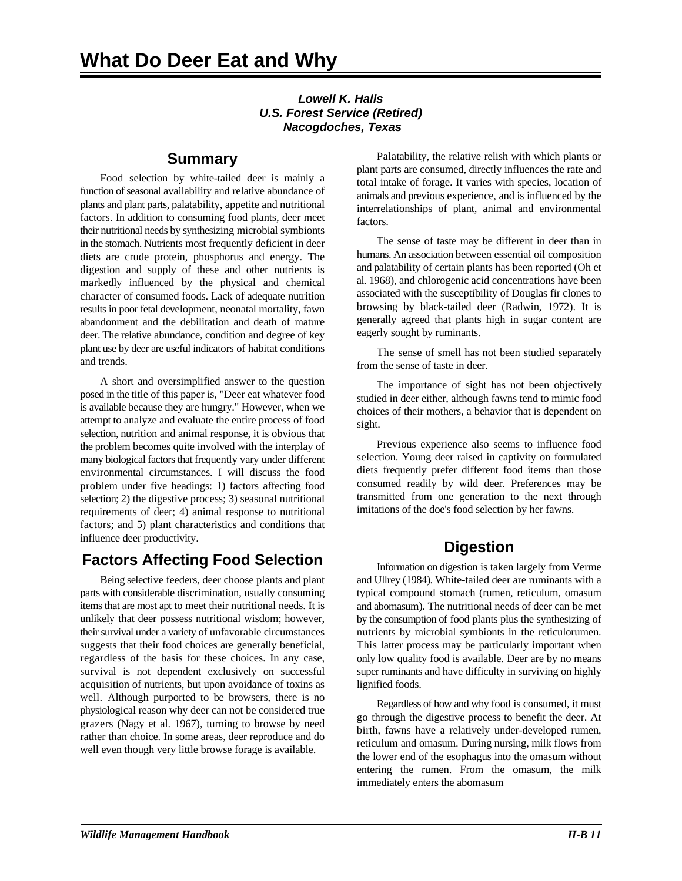#### *Lowell K. Halls U.S. Forest Service (Retired) Nacogdoches, Texas*

### **Summary**

Food selection by white-tailed deer is mainly a function of seasonal availability and relative abundance of plants and plant parts, palatability, appetite and nutritional factors. In addition to consuming food plants, deer meet their nutritional needs by synthesizing microbial symbionts in the stomach. Nutrients most frequently deficient in deer diets are crude protein, phosphorus and energy. The digestion and supply of these and other nutrients is markedly influenced by the physical and chemical character of consumed foods. Lack of adequate nutrition results in poor fetal development, neonatal mortality, fawn abandonment and the debilitation and death of mature deer. The relative abundance, condition and degree of key plant use by deer are useful indicators of habitat conditions and trends.

A short and oversimplified answer to the question posed in the title of this paper is, "Deer eat whatever food is available because they are hungry." However, when we attempt to analyze and evaluate the entire process of food selection, nutrition and animal response, it is obvious that the problem becomes quite involved with the interplay of many biological factors that frequently vary under different environmental circumstances. I will discuss the food problem under five headings: 1) factors affecting food selection; 2) the digestive process; 3) seasonal nutritional requirements of deer; 4) animal response to nutritional factors; and 5) plant characteristics and conditions that influence deer productivity.

## **Factors Affecting Food Selection**

Being selective feeders, deer choose plants and plant parts with considerable discrimination, usually consuming items that are most apt to meet their nutritional needs. It is unlikely that deer possess nutritional wisdom; however, their survival under a variety of unfavorable circumstances suggests that their food choices are generally beneficial, regardless of the basis for these choices. In any case, survival is not dependent exclusively on successful acquisition of nutrients, but upon avoidance of toxins as well. Although purported to be browsers, there is no physiological reason why deer can not be considered true grazers (Nagy et al. 1967), turning to browse by need rather than choice. In some areas, deer reproduce and do well even though very little browse forage is available.

Palatability, the relative relish with which plants or plant parts are consumed, directly influences the rate and total intake of forage. It varies with species, location of animals and previous experience, and is influenced by the interrelationships of plant, animal and environmental factors.

The sense of taste may be different in deer than in humans. An association between essential oil composition and palatability of certain plants has been reported (Oh et al. 1968), and chlorogenic acid concentrations have been associated with the susceptibility of Douglas fir clones to browsing by black-tailed deer (Radwin, 1972). It is generally agreed that plants high in sugar content are eagerly sought by ruminants.

The sense of smell has not been studied separately from the sense of taste in deer.

The importance of sight has not been objectively studied in deer either, although fawns tend to mimic food choices of their mothers, a behavior that is dependent on sight.

Previous experience also seems to influence food selection. Young deer raised in captivity on formulated diets frequently prefer different food items than those consumed readily by wild deer. Preferences may be transmitted from one generation to the next through imitations of the doe's food selection by her fawns.

# **Digestion**

Information on digestion is taken largely from Verme and Ullrey (1984). White-tailed deer are ruminants with a typical compound stomach (rumen, reticulum, omasum and abomasum). The nutritional needs of deer can be met by the consumption of food plants plus the synthesizing of nutrients by microbial symbionts in the reticulorumen. This latter process may be particularly important when only low quality food is available. Deer are by no means super ruminants and have difficulty in surviving on highly lignified foods.

Regardless of how and why food is consumed, it must go through the digestive process to benefit the deer. At birth, fawns have a relatively under-developed rumen, reticulum and omasum. During nursing, milk flows from the lower end of the esophagus into the omasum without entering the rumen. From the omasum, the milk immediately enters the abomasum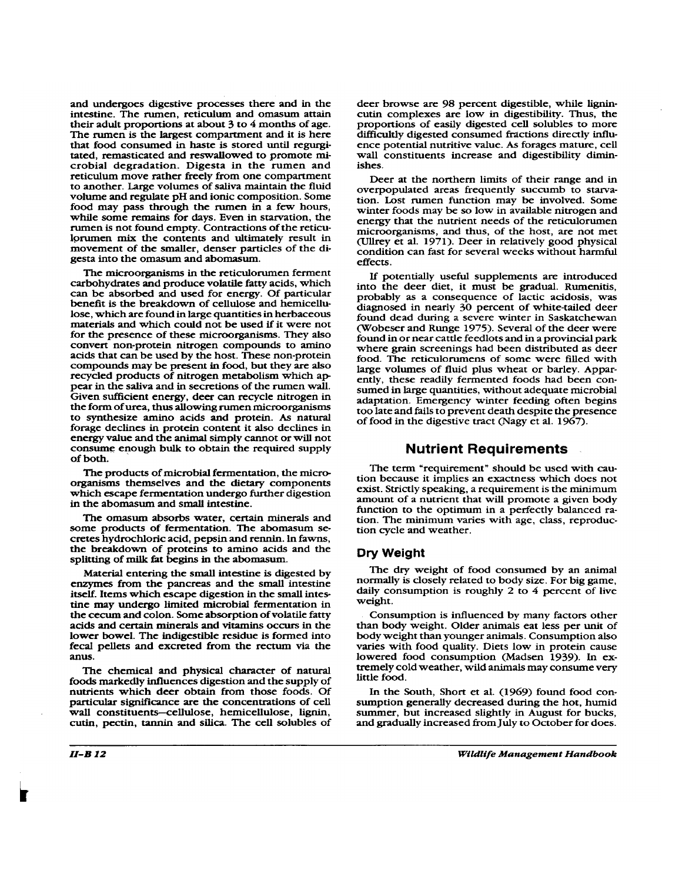and undergoes digestive processes there and in the intestine. The rumen, reticulum and omasum attain their adult proportions at about 3 to 4 months of age. The rumen is the largest compartment and it is here that food consumed in haste is stored until regurgitated, remasticated and reswallowed to promote microbial degradation. Digesta in the rumen and reticulum move rather freely from one compartment to another. Large volumes of saliva maintain the fluid volume and regulate pH and ionic composition. Some food may pass through the rumen in a few hours, while some remains for days. Even in starvation, the rumen is not found empty. Contractions of the reticulorumen mix the contents and ultimately result in movement of the smaller, denser particles of the digesta into the omasum and abomasum

The microorganisms in the reticulorumen ferment carbohydrates and produce volatile fatty acids, which can be absorbed and used for energy. Of particular benefit is the breakdown of cellulose and hemicellulose, which are found in large quantities in herbaceous materials and which could not be used if it were not for the presence of these microorganisms. They also convert non-protein nitrogen compounds to amino acids that can be used by the host. These non-protein compounds may be present in food, but they are also recycled products of nitrogen metabolism which appear in the saliva and in secretions of the rumen wall. Given sufficient energy, deer can recycle nitrogen in the form of urea, thus allowing rumen microorganisms to synthesize amino acids and protein. As natural forage declines in protein content it also declines in energy value and the animal simply cannot or will not consume enough bulk to obtain the required supply of both.

The products of microbial fermentation, the microorganisms themselves and the dietary components which escape fermentation undergo further digestion in the abomasum and small intestine.

The omasum absorbs water, certain minerals and some products of fermentation. The abomasum secretes hydrochloric acid, pepsin and rennin. In fawns, the breakdown of proteins to amino acids and the splitting of milk fat begins in the abomasum.

Material entering the small intestine is digested by enzymes from the pancreas and the small intestine itself. Items which escape digestion in the small intestine may undergo limited microbial fermentation in the cecum and colon. Some absorption of volatile fatty acids and certain minerals and vitamins occurs in the lower bowel. The indigestible residue is formed into fecal pellets and excreted from the rectum via the anus.

The chemical and physical character of natural foods markedly influences digestion and the supply of nutrients which deer obtain from those foods. Of particular significance are the concentrations of cell wall constituents-cellulose, hemicellulose, lignin, cutin, pectin, tannin and silica. The cell solubles of

deer browse are 98 percent digestible, while lignincutin complexes are low in digestibility. Thus, the proportions of easily digested cell solubles to more difficultly digested consumed fractions directly influence potential nutritive value. As forages mature, cell wall constituents increase and digestibility dimin*ishes* 

Deer at the northern limits of their range and in overpopulated areas frequently succumb to starvation. Lost rumen function may be involved. Some winter foods may be so low in available nitrogen and energy that the nutrient needs of the reticulorumen microorganisms, and thus, of the host, are not met (Ullrey et al. 1971). Deer in relatively good physical condition can fast for several weeks without harmful effects

If potentially useful supplements are introduced into the deer diet, it must be gradual. Rumenitis, probably as a consequence of lactic acidosis, was diagnosed in nearly 30 percent of white-tailed deer found dead during a severe winter in Saskatchewan (Wobeser and Runge 1975). Several of the deer were found in or near cattle feedlots and in a provincial park where grain screenings had been distributed as deer food. The reticulorumens of some were filled with large volumes of fluid plus wheat or barley. Apparently, these readily fermented foods had been consumed in large quantities, without adequate microbial adaptation. Emergency winter feeding often begins too late and fails to prevent death despite the presence of food in the digestive tract (Nagy et al. 1967).

#### **Nutrient Requirements**

The term "requirement" should be used with caution because it implies an exactness which does not exist. Strictly speaking, a requirement is the minimum amount of a nutrient that will promote a given body function to the optimum in a perfectly balanced ration. The minimum varies with age, class, reproduction cycle and weather.

#### Dry Weight

The dry weight of food consumed by an animal normally is closely related to body size. For big game, daily consumption is roughly 2 to 4 percent of live weight.

Consumption is influenced by many factors other than body weight. Older animals eat less per unit of body weight than younger animals. Consumption also varies with food quality. Diets low in protein cause lowered food consumption (Madsen 1939). In extremely cold weather, wild animals may consume very little food.

In the South, Short et al. (1969) found food consumption generally decreased during the hot, humid summer, but increased slightly in August for bucks, and gradually increased from July to October for does.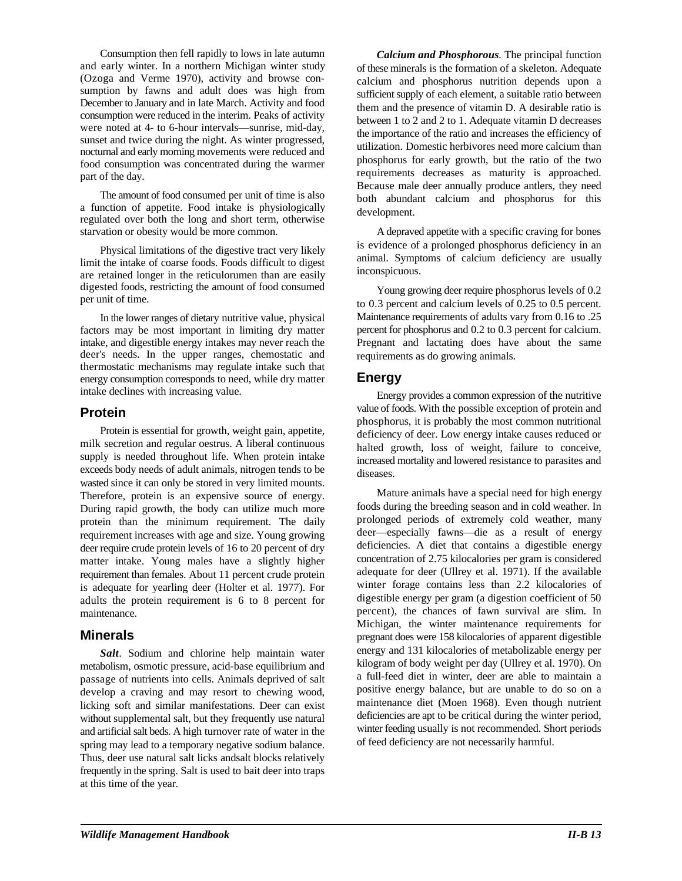Consumption then fell rapidly to lows in late autumn and early winter. In a northern Michigan winter study (Ozoga and Verme 1970), activity and browse consumption by fawns and adult does was high from December to January and in late March. Activity and food consumption were reduced in the interim. Peaks of activity were noted at 4- to 6-hour intervals—sunrise, mid-day, sunset and twice during the night. As winter progressed, nocturnal and early morning movements were reduced and food consumption was concentrated during the warmer part of the day.

The amount of food consumed per unit of time is also a function of appetite. Food intake is physiologically regulated over both the long and short term, otherwise starvation or obesity would be more common. A depraved appetite with a specific craving for bones

Physical limitations of the digestive tract very likely limit the intake of coarse foods. Foods difficult to digest are retained longer in the reticulorumen than are easily digested foods, restricting the amount of food consumed per unit of time.

In the lower ranges of dietary nutritive value, physical factors may be most important in limiting dry matter intake, and digestible energy intakes may never reach the deer's needs. In the upper ranges, chemostatic and thermostatic mechanisms may regulate intake such that energy consumption corresponds to need, while dry matter intake declines with increasing value.

### **Protein**

Protein is essential for growth, weight gain, appetite, milk secretion and regular oestrus. A liberal continuous supply is needed throughout life. When protein intake exceeds body needs of adult animals, nitrogen tends to be wasted since it can only be stored in very limited mounts. Therefore, protein is an expensive source of energy. During rapid growth, the body can utilize much more protein than the minimum requirement. The daily requirement increases with age and size. Young growing deer require crude protein levels of 16 to 20 percent of dry matter intake. Young males have a slightly higher requirement than females. About 11 percent crude protein is adequate for yearling deer (Holter et al. 1977). For adults the protein requirement is 6 to 8 percent for maintenance.

#### **Minerals**

*Salt*. Sodium and chlorine help maintain water metabolism, osmotic pressure, acid-base equilibrium and passage of nutrients into cells. Animals deprived of salt develop a craving and may resort to chewing wood, licking soft and similar manifestations. Deer can exist without supplemental salt, but they frequently use natural and artificial salt beds. A high turnover rate of water in the spring may lead to a temporary negative sodium balance. Thus, deer use natural salt licks andsalt blocks relatively frequently in the spring. Salt is used to bait deer into traps at this time of the year.

*Calcium and Phosphorous.* The principal function of these minerals is the formation of a skeleton. Adequate calcium and phosphorus nutrition depends upon a sufficient supply of each element, a suitable ratio between them and the presence of vitamin D. A desirable ratio is between 1 to 2 and 2 to 1. Adequate vitamin D decreases the importance of the ratio and increases the efficiency of utilization. Domestic herbivores need more calcium than phosphorus for early growth, but the ratio of the two requirements decreases as maturity is approached. Because male deer annually produce antlers, they need both abundant calcium and phosphorus for this development.

is evidence of a prolonged phosphorus deficiency in an animal. Symptoms of calcium deficiency are usually inconspicuous.

Young growing deer require phosphorus levels of 0.2 to 0.3 percent and calcium levels of 0.25 to 0.5 percent. Maintenance requirements of adults vary from 0.16 to .25 percent for phosphorus and 0.2 to 0.3 percent for calcium. Pregnant and lactating does have about the same requirements as do growing animals.

### **Energy**

Energy provides a common expression of the nutritive value of foods. With the possible exception of protein and phosphorus, it is probably the most common nutritional deficiency of deer. Low energy intake causes reduced or halted growth, loss of weight, failure to conceive, increased mortality and lowered resistance to parasites and diseases.

Mature animals have a special need for high energy foods during the breeding season and in cold weather. In prolonged periods of extremely cold weather, many deer—especially fawns—die as a result of energy deficiencies. A diet that contains a digestible energy concentration of 2.75 kilocalories per gram is considered adequate for deer (Ullrey et al. 1971). If the available winter forage contains less than 2.2 kilocalories of digestible energy per gram (a digestion coefficient of 50 percent), the chances of fawn survival are slim. In Michigan, the winter maintenance requirements for pregnant does were 158 kilocalories of apparent digestible energy and 131 kilocalories of metabolizable energy per kilogram of body weight per day (Ullrey et al. 1970). On a full-feed diet in winter, deer are able to maintain a positive energy balance, but are unable to do so on a maintenance diet (Moen 1968). Even though nutrient deficiencies are apt to be critical during the winter period, winter feeding usually is not recommended. Short periods of feed deficiency are not necessarily harmful.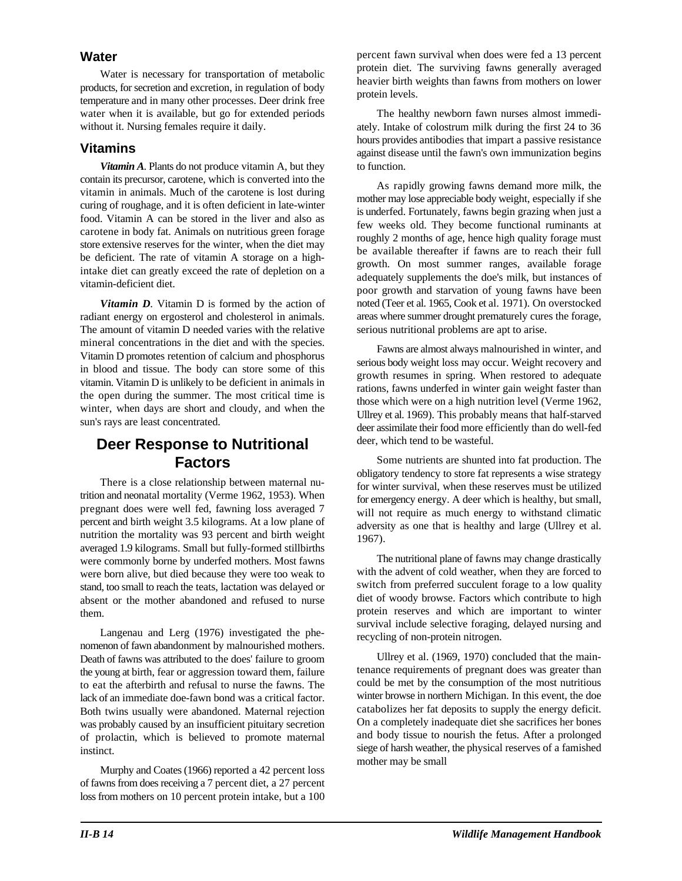#### **Water**

Water is necessary for transportation of metabolic products, for secretion and excretion, in regulation of body temperature and in many other processes. Deer drink free water when it is available, but go for extended periods without it. Nursing females require it daily.

#### **Vitamins**

*Vitamin A*. Plants do not produce vitamin A, but they to function. contain its precursor, carotene, which is converted into the vitamin in animals. Much of the carotene is lost during curing of roughage, and it is often deficient in late-winter food. Vitamin A can be stored in the liver and also as carotene in body fat. Animals on nutritious green forage store extensive reserves for the winter, when the diet may be deficient. The rate of vitamin A storage on a highintake diet can greatly exceed the rate of depletion on a vitamin-deficient diet.

*Vitamin D.* Vitamin D is formed by the action of radiant energy on ergosterol and cholesterol in animals. The amount of vitamin D needed varies with the relative mineral concentrations in the diet and with the species. Vitamin D promotes retention of calcium and phosphorus in blood and tissue. The body can store some of this vitamin. Vitamin D is unlikely to be deficient in animals in the open during the summer. The most critical time is winter, when days are short and cloudy, and when the sun's rays are least concentrated.

### **Deer Response to Nutritional Factors**

There is a close relationship between maternal nutrition and neonatal mortality (Verme 1962, 1953). When pregnant does were well fed, fawning loss averaged 7 percent and birth weight 3.5 kilograms. At a low plane of nutrition the mortality was 93 percent and birth weight averaged 1.9 kilograms. Small but fully-formed stillbirths were commonly borne by underfed mothers. Most fawns were born alive, but died because they were too weak to stand, too small to reach the teats, lactation was delayed or absent or the mother abandoned and refused to nurse them.

Langenau and Lerg (1976) investigated the phenomenon of fawn abandonment by malnourished mothers. Death of fawns was attributed to the does' failure to groom the young at birth, fear or aggression toward them, failure to eat the afterbirth and refusal to nurse the fawns. The lack of an immediate doe-fawn bond was a critical factor. Both twins usually were abandoned. Maternal rejection was probably caused by an insufficient pituitary secretion of prolactin, which is believed to promote maternal instinct.

Murphy and Coates (1966) reported a 42 percent loss of fawns from does receiving a 7 percent diet, a 27 percent loss from mothers on 10 percent protein intake, but a 100

percent fawn survival when does were fed a 13 percent protein diet. The surviving fawns generally averaged heavier birth weights than fawns from mothers on lower protein levels.

The healthy newborn fawn nurses almost immediately. Intake of colostrum milk during the first 24 to 36 hours provides antibodies that impart a passive resistance against disease until the fawn's own immunization begins

As rapidly growing fawns demand more milk, the mother may lose appreciable body weight, especially if she is underfed. Fortunately, fawns begin grazing when just a few weeks old. They become functional ruminants at roughly 2 months of age, hence high quality forage must be available thereafter if fawns are to reach their full growth. On most summer ranges, available forage adequately supplements the doe's milk, but instances of poor growth and starvation of young fawns have been noted (Teer et al. 1965, Cook et al. 1971). On overstocked areas where summer drought prematurely cures the forage, serious nutritional problems are apt to arise.

Fawns are almost always malnourished in winter, and serious body weight loss may occur. Weight recovery and growth resumes in spring. When restored to adequate rations, fawns underfed in winter gain weight faster than those which were on a high nutrition level (Verme 1962, Ullrey et al. 1969). This probably means that half-starved deer assimilate their food more efficiently than do well-fed deer, which tend to be wasteful.

Some nutrients are shunted into fat production. The obligatory tendency to store fat represents a wise strategy for winter survival, when these reserves must be utilized for emergency energy. A deer which is healthy, but small, will not require as much energy to withstand climatic adversity as one that is healthy and large (Ullrey et al. 1967).

The nutritional plane of fawns may change drastically with the advent of cold weather, when they are forced to switch from preferred succulent forage to a low quality diet of woody browse. Factors which contribute to high protein reserves and which are important to winter survival include selective foraging, delayed nursing and recycling of non-protein nitrogen.

Ullrey et al. (1969, 1970) concluded that the maintenance requirements of pregnant does was greater than could be met by the consumption of the most nutritious winter browse in northern Michigan. In this event, the doe catabolizes her fat deposits to supply the energy deficit. On a completely inadequate diet she sacrifices her bones and body tissue to nourish the fetus. After a prolonged siege of harsh weather, the physical reserves of a famished mother may be small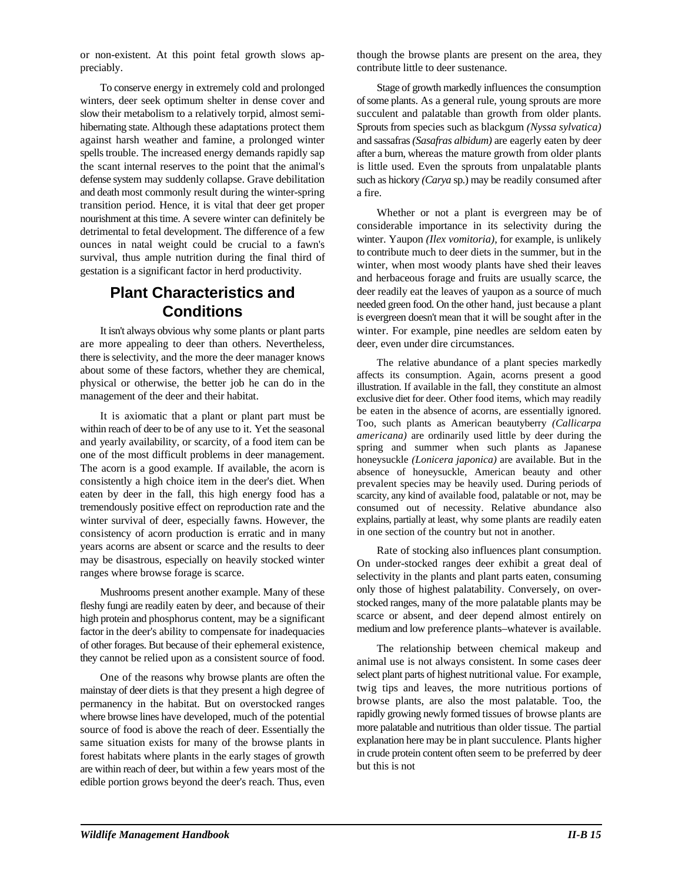preciably. contribute little to deer sustenance.

winters, deer seek optimum shelter in dense cover and of some plants. As a general rule, young sprouts are more slow their metabolism to a relatively torpid, almost semi- succulent and palatable than growth from older plants. hibernating state. Although these adaptations protect them against harsh weather and famine, a prolonged winter spells trouble. The increased energy demands rapidly sap the scant internal reserves to the point that the animal's defense system may suddenly collapse. Grave debilitation and death most commonly result during the winter-spring transition period. Hence, it is vital that deer get proper nourishment at this time. A severe winter can definitely be detrimental to fetal development. The difference of a few ounces in natal weight could be crucial to a fawn's survival, thus ample nutrition during the final third of gestation is a significant factor in herd productivity.

## **Plant Characteristics and Conditions**

It isn't always obvious why some plants or plant parts are more appealing to deer than others. Nevertheless, there is selectivity, and the more the deer manager knows about some of these factors, whether they are chemical, physical or otherwise, the better job he can do in the management of the deer and their habitat.

It is axiomatic that a plant or plant part must be within reach of deer to be of any use to it. Yet the seasonal and yearly availability, or scarcity, of a food item can be one of the most difficult problems in deer management. The acorn is a good example. If available, the acorn is consistently a high choice item in the deer's diet. When eaten by deer in the fall, this high energy food has a tremendously positive effect on reproduction rate and the winter survival of deer, especially fawns. However, the consistency of acorn production is erratic and in many years acorns are absent or scarce and the results to deer may be disastrous, especially on heavily stocked winter ranges where browse forage is scarce.

Mushrooms present another example. Many of these fleshy fungi are readily eaten by deer, and because of their high protein and phosphorus content, may be a significant factor in the deer's ability to compensate for inadequacies of other forages. But because of their ephemeral existence, they cannot be relied upon as a consistent source of food.

One of the reasons why browse plants are often the mainstay of deer diets is that they present a high degree of permanency in the habitat. But on overstocked ranges where browse lines have developed, much of the potential source of food is above the reach of deer. Essentially the same situation exists for many of the browse plants in forest habitats where plants in the early stages of growth are within reach of deer, but within a few years most of the edible portion grows beyond the deer's reach. Thus, even

or non-existent. At this point fetal growth slows ap- though the browse plants are present on the area, they

To conserve energy in extremely cold and prolonged Stage of growth markedly influences the consumption Sprouts from species such as blackgum *(Nyssa sylvatica)* and sassafras *(Sasafras albidum)* are eagerly eaten by deer after a burn, whereas the mature growth from older plants is little used. Even the sprouts from unpalatable plants such as hickory *(Carya* sp.) may be readily consumed after a fire.

> Whether or not a plant is evergreen may be of considerable importance in its selectivity during the winter. Yaupon *(Ilex vomitoria),* for example, is unlikely to contribute much to deer diets in the summer, but in the winter, when most woody plants have shed their leaves and herbaceous forage and fruits are usually scarce, the deer readily eat the leaves of yaupon as a source of much needed green food. On the other hand, just because a plant is evergreen doesn't mean that it will be sought after in the winter. For example, pine needles are seldom eaten by deer, even under dire circumstances.

> The relative abundance of a plant species markedly affects its consumption. Again, acorns present a good illustration. If available in the fall, they constitute an almost exclusive diet for deer. Other food items, which may readily be eaten in the absence of acorns, are essentially ignored. Too, such plants as American beautyberry *(Callicarpa americana)* are ordinarily used little by deer during the spring and summer when such plants as Japanese honeysuckle *(Lonicera japonica)* are available. But in the absence of honeysuckle, American beauty and other prevalent species may be heavily used. During periods of scarcity, any kind of available food, palatable or not, may be consumed out of necessity. Relative abundance also explains, partially at least, why some plants are readily eaten in one section of the country but not in another.

> Rate of stocking also influences plant consumption. On under-stocked ranges deer exhibit a great deal of selectivity in the plants and plant parts eaten, consuming only those of highest palatability. Conversely, on overstocked ranges, many of the more palatable plants may be scarce or absent, and deer depend almost entirely on medium and low preference plants–whatever is available.

> The relationship between chemical makeup and animal use is not always consistent. In some cases deer select plant parts of highest nutritional value. For example, twig tips and leaves, the more nutritious portions of browse plants, are also the most palatable. Too, the rapidly growing newly formed tissues of browse plants are more palatable and nutritious than older tissue. The partial explanation here may be in plant succulence. Plants higher in crude protein content often seem to be preferred by deer but this is not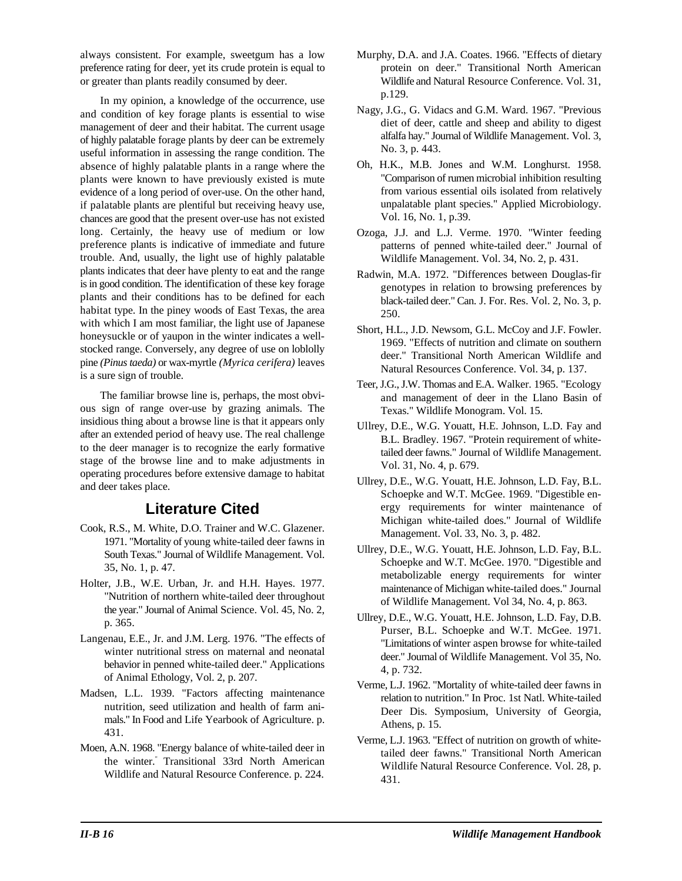always consistent. For example, sweetgum has a low Murphy, D.A. and J.A. Coates. 1966. "Effects of dietary preference rating for deer, yet its crude protein is equal to protein on deer." Transitional North American or greater than plants readily consumed by deer. Wildlife and Natural Resource Conference. Vol. 31,

In my opinion, a knowledge of the occurrence, use and condition of key forage plants is essential to wise management of deer and their habitat. The current usage of highly palatable forage plants by deer can be extremely useful information in assessing the range condition. The absence of highly palatable plants in a range where the plants were known to have previously existed is mute evidence of a long period of over-use. On the other hand, if palatable plants are plentiful but receiving heavy use, chances are good that the present over-use has not existed long. Certainly, the heavy use of medium or low preference plants is indicative of immediate and future trouble. And, usually, the light use of highly palatable plants indicates that deer have plenty to eat and the range is in good condition. The identification of these key forage plants and their conditions has to be defined for each habitat type. In the piney woods of East Texas, the area with which I am most familiar, the light use of Japanese honeysuckle or of yaupon in the winter indicates a wellstocked range. Conversely, any degree of use on loblolly pine *(Pinus taeda)* or wax-myrtle *(Myrica cerifera)* leaves is a sure sign of trouble.

The familiar browse line is, perhaps, the most obvious sign of range over-use by grazing animals. The insidious thing about a browse line is that it appears only after an extended period of heavy use. The real challenge to the deer manager is to recognize the early formative stage of the browse line and to make adjustments in operating procedures before extensive damage to habitat and deer takes place.

## **Literature Cited**

- Cook, R.S., M. White, D.O. Trainer and W.C. Glazener. 1971. "Mortality of young white-tailed deer fawns in South Texas." Journal of Wildlife Management. Vol. 35, No. 1, p. 47.
- Holter, J.B., W.E. Urban, Jr. and H.H. Hayes. 1977. "Nutrition of northern white-tailed deer throughout the year." Journal of Animal Science. Vol. 45, No. 2, p. 365.
- Langenau, E.E., Jr. and J.M. Lerg. 1976. "The effects of winter nutritional stress on maternal and neonatal behavior in penned white-tailed deer." Applications of Animal Ethology, Vol. 2, p. 207.
- Madsen, L.L. 1939. "Factors affecting maintenance nutrition, seed utilization and health of farm animals." In Food and Life Yearbook of Agriculture. p. 431.
- Moen, A.N. 1968. "Energy balance of white-tailed deer in the winter. Transitional 33rd North American Wildlife and Natural Resource Conference. p. 224.
- p.129.
- Nagy, J.G., G. Vidacs and G.M. Ward. 1967. "Previous diet of deer, cattle and sheep and ability to digest alfalfa hay." Journal of Wildlife Management. Vol. 3, No. 3, p. 443.
- Oh, H.K., M.B. Jones and W.M. Longhurst. 1958. "Comparison of rumen microbial inhibition resulting from various essential oils isolated from relatively unpalatable plant species." Applied Microbiology. Vol. 16, No. 1, p.39.
- Ozoga, J.J. and L.J. Verme. 1970. "Winter feeding patterns of penned white-tailed deer." Journal of Wildlife Management. Vol. 34, No. 2, p. 431.
- Radwin, M.A. 1972. "Differences between Douglas-fir genotypes in relation to browsing preferences by black-tailed deer." Can. J. For. Res. Vol. 2, No. 3, p. 250.
- Short, H.L., J.D. Newsom, G.L. McCoy and J.F. Fowler. 1969. "Effects of nutrition and climate on southern deer." Transitional North American Wildlife and Natural Resources Conference. Vol. 34, p. 137.
- Teer, J.G., J.W. Thomas and E.A. Walker. 1965. "Ecology and management of deer in the Llano Basin of Texas." Wildlife Monogram. Vol. 15.
- Ullrey, D.E., W.G. Youatt, H.E. Johnson, L.D. Fay and B.L. Bradley. 1967. "Protein requirement of whitetailed deer fawns." Journal of Wildlife Management. Vol. 31, No. 4, p. 679.
- Ullrey, D.E., W.G. Youatt, H.E. Johnson, L.D. Fay, B.L. Schoepke and W.T. McGee. 1969. "Digestible energy requirements for winter maintenance of Michigan white-tailed does." Journal of Wildlife Management. Vol. 33, No. 3, p. 482.
- Ullrey, D.E., W.G. Youatt, H.E. Johnson, L.D. Fay, B.L. Schoepke and W.T. McGee. 1970. "Digestible and metabolizable energy requirements for winter maintenance of Michigan white-tailed does." Journal of Wildlife Management. Vol 34, No. 4, p. 863.
- Ullrey, D.E., W.G. Youatt, H.E. Johnson, L.D. Fay, D.B. Purser, B.L. Schoepke and W.T. McGee. 1971. "Limitations of winter aspen browse for white-tailed deer." Journal of Wildlife Management. Vol 35, No. 4, p. 732.
- Verme, L.J. 1962. "Mortality of white-tailed deer fawns in relation to nutrition." In Proc. 1st Natl. White-tailed Deer Dis. Symposium, University of Georgia, Athens, p. 15.
- Verme, L.J. 1963. "Effect of nutrition on growth of whitetailed deer fawns." Transitional North American Wildlife Natural Resource Conference. Vol. 28, p. 431.